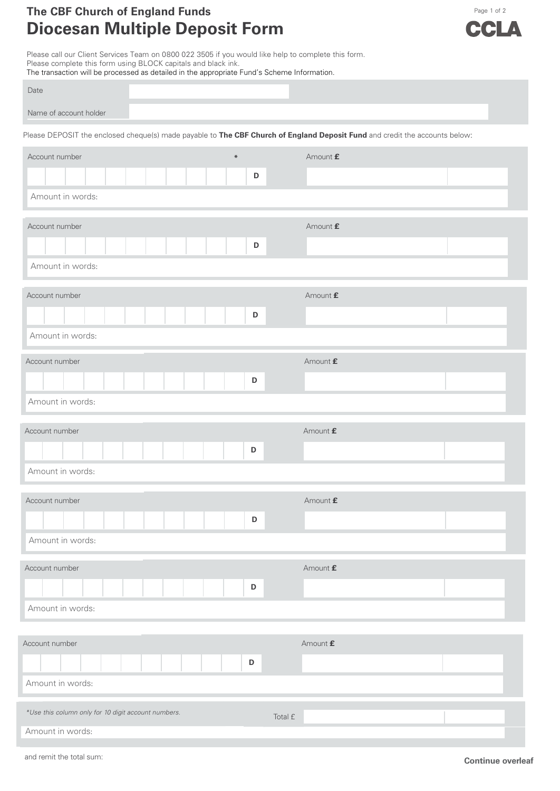## **The CBF Chu** Page 1 of <sup>2</sup> **rch of England Funds Diocesan Multiple Deposit Form**



Please call our Client Services Team on 0800 022 3505 if you would like help to complete this form. Please complete this form using BLOCK capitals and black ink.

| The transaction will be processed as detailed in the appropriate Fund's Scheme Information.                                 |                                 |  |  |  |  |  |  |  |  |  |  |  |
|-----------------------------------------------------------------------------------------------------------------------------|---------------------------------|--|--|--|--|--|--|--|--|--|--|--|
| Date                                                                                                                        |                                 |  |  |  |  |  |  |  |  |  |  |  |
| Name of account holder                                                                                                      |                                 |  |  |  |  |  |  |  |  |  |  |  |
| Please DEPOSIT the enclosed cheque(s) made payable to The CBF Church of England Deposit Fund and credit the accounts below: |                                 |  |  |  |  |  |  |  |  |  |  |  |
| Account number<br>$\ast$                                                                                                    | Amount £                        |  |  |  |  |  |  |  |  |  |  |  |
| D                                                                                                                           |                                 |  |  |  |  |  |  |  |  |  |  |  |
| Amount in words:                                                                                                            |                                 |  |  |  |  |  |  |  |  |  |  |  |
| Account number                                                                                                              | Amount £                        |  |  |  |  |  |  |  |  |  |  |  |
| $\mathsf D$                                                                                                                 |                                 |  |  |  |  |  |  |  |  |  |  |  |
| Amount in words:                                                                                                            |                                 |  |  |  |  |  |  |  |  |  |  |  |
| Account number                                                                                                              | Amount $\pmb{\mathsf{f}}$       |  |  |  |  |  |  |  |  |  |  |  |
| $\mathsf D$                                                                                                                 |                                 |  |  |  |  |  |  |  |  |  |  |  |
| Amount in words:                                                                                                            |                                 |  |  |  |  |  |  |  |  |  |  |  |
| Account number                                                                                                              | Amount £                        |  |  |  |  |  |  |  |  |  |  |  |
| D                                                                                                                           |                                 |  |  |  |  |  |  |  |  |  |  |  |
| Amount in words:                                                                                                            |                                 |  |  |  |  |  |  |  |  |  |  |  |
| Account number                                                                                                              | Amount £                        |  |  |  |  |  |  |  |  |  |  |  |
| $\mathsf D$                                                                                                                 |                                 |  |  |  |  |  |  |  |  |  |  |  |
| Amount in words:                                                                                                            |                                 |  |  |  |  |  |  |  |  |  |  |  |
| Account number                                                                                                              | Amount £                        |  |  |  |  |  |  |  |  |  |  |  |
| D                                                                                                                           |                                 |  |  |  |  |  |  |  |  |  |  |  |
| Amount in words:                                                                                                            |                                 |  |  |  |  |  |  |  |  |  |  |  |
| Account number                                                                                                              | Amount $\underline{\mathbf{f}}$ |  |  |  |  |  |  |  |  |  |  |  |
| D                                                                                                                           |                                 |  |  |  |  |  |  |  |  |  |  |  |
| Amount in words:                                                                                                            |                                 |  |  |  |  |  |  |  |  |  |  |  |
| Account number                                                                                                              | Amount $\pmb{\mathsf{f}}$       |  |  |  |  |  |  |  |  |  |  |  |
| D                                                                                                                           |                                 |  |  |  |  |  |  |  |  |  |  |  |
| Amount in words:                                                                                                            |                                 |  |  |  |  |  |  |  |  |  |  |  |
| *Use this column only for 10 digit account numbers.                                                                         |                                 |  |  |  |  |  |  |  |  |  |  |  |
| Amount in words:                                                                                                            | Total £                         |  |  |  |  |  |  |  |  |  |  |  |